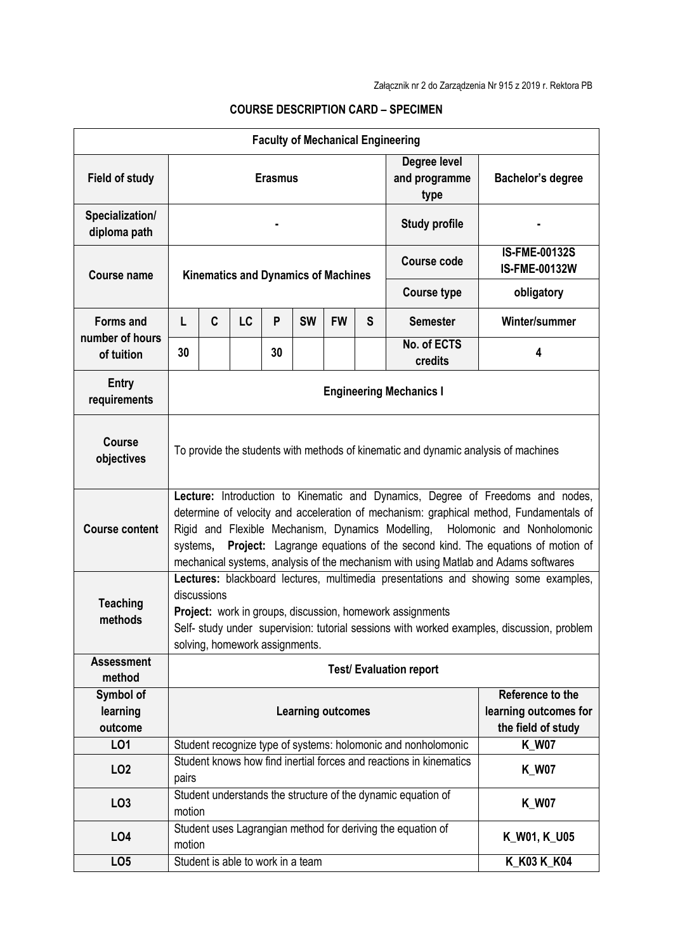| <b>Faculty of Mechanical Engineering</b> |                                                                                                                                                                                                                                                                                                                                                                                                                                           |             |                                   |    |           |              |   |                                       |                                              |  |
|------------------------------------------|-------------------------------------------------------------------------------------------------------------------------------------------------------------------------------------------------------------------------------------------------------------------------------------------------------------------------------------------------------------------------------------------------------------------------------------------|-------------|-----------------------------------|----|-----------|--------------|---|---------------------------------------|----------------------------------------------|--|
| <b>Field of study</b>                    | <b>Erasmus</b>                                                                                                                                                                                                                                                                                                                                                                                                                            |             |                                   |    |           |              |   | Degree level<br>and programme<br>type | Bachelor's degree                            |  |
| Specialization/<br>diploma path          | <b>Study profile</b>                                                                                                                                                                                                                                                                                                                                                                                                                      |             |                                   |    |           |              |   |                                       |                                              |  |
| <b>Course name</b>                       | <b>Kinematics and Dynamics of Machines</b>                                                                                                                                                                                                                                                                                                                                                                                                |             |                                   |    |           |              |   | <b>Course code</b>                    | <b>IS-FME-00132S</b><br><b>IS-FME-00132W</b> |  |
|                                          |                                                                                                                                                                                                                                                                                                                                                                                                                                           |             |                                   |    |           |              |   | <b>Course type</b>                    | obligatory                                   |  |
| <b>Forms and</b><br>number of hours      | L                                                                                                                                                                                                                                                                                                                                                                                                                                         | $\mathbf c$ | LC                                | P  | <b>SW</b> | <b>FW</b>    | S | <b>Semester</b>                       | Winter/summer                                |  |
| of tuition                               | 30                                                                                                                                                                                                                                                                                                                                                                                                                                        |             |                                   | 30 |           |              |   | No. of ECTS<br>credits                | 4                                            |  |
| <b>Entry</b><br>requirements             | <b>Engineering Mechanics I</b>                                                                                                                                                                                                                                                                                                                                                                                                            |             |                                   |    |           |              |   |                                       |                                              |  |
| <b>Course</b><br>objectives              | To provide the students with methods of kinematic and dynamic analysis of machines                                                                                                                                                                                                                                                                                                                                                        |             |                                   |    |           |              |   |                                       |                                              |  |
| <b>Course content</b>                    | Lecture: Introduction to Kinematic and Dynamics, Degree of Freedoms and nodes,<br>determine of velocity and acceleration of mechanism: graphical method, Fundamentals of<br>Rigid and Flexible Mechanism, Dynamics Modelling, Holomonic and Nonholomonic<br>Project: Lagrange equations of the second kind. The equations of motion of<br>systems,<br>mechanical systems, analysis of the mechanism with using Matlab and Adams softwares |             |                                   |    |           |              |   |                                       |                                              |  |
| <b>Teaching</b><br>methods               | Lectures: blackboard lectures, multimedia presentations and showing some examples,<br>discussions<br>Project: work in groups, discussion, homework assignments<br>Self- study under supervision: tutorial sessions with worked examples, discussion, problem<br>solving, homework assignments.                                                                                                                                            |             |                                   |    |           |              |   |                                       |                                              |  |
| <b>Assessment</b><br>method              | <b>Test/ Evaluation report</b>                                                                                                                                                                                                                                                                                                                                                                                                            |             |                                   |    |           |              |   |                                       |                                              |  |
| Symbol of<br>learning<br>outcome         | Reference to the<br><b>Learning outcomes</b><br>the field of study                                                                                                                                                                                                                                                                                                                                                                        |             |                                   |    |           |              |   | learning outcomes for                 |                                              |  |
| LO1                                      | Student recognize type of systems: holomonic and nonholomonic                                                                                                                                                                                                                                                                                                                                                                             |             |                                   |    |           |              |   | <b>K_W07</b>                          |                                              |  |
| LO <sub>2</sub>                          | Student knows how find inertial forces and reactions in kinematics<br><b>K_W07</b><br>pairs                                                                                                                                                                                                                                                                                                                                               |             |                                   |    |           |              |   |                                       |                                              |  |
| LO <sub>3</sub>                          | Student understands the structure of the dynamic equation of<br><b>K_W07</b><br>motion                                                                                                                                                                                                                                                                                                                                                    |             |                                   |    |           |              |   |                                       |                                              |  |
| LO <sub>4</sub>                          | Student uses Lagrangian method for deriving the equation of<br>motion                                                                                                                                                                                                                                                                                                                                                                     |             |                                   |    |           | K_W01, K_U05 |   |                                       |                                              |  |
| LO <sub>5</sub>                          |                                                                                                                                                                                                                                                                                                                                                                                                                                           |             | Student is able to work in a team |    |           |              |   |                                       | K_K03 K_K04                                  |  |

## **COURSE DESCRIPTION CARD – SPECIMEN**